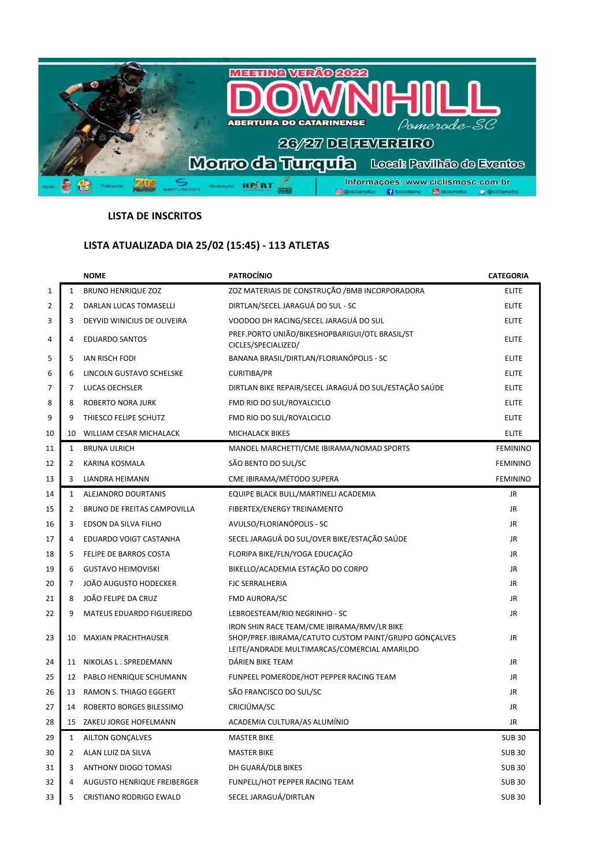

## **LISTA DE INSCRITOS**

## **LISTA ATUALIZADA DIA 25/02 (15:45) - 113 ATLETAS**

|                |                | <b>NOME</b>                        | <b>PATROCÍNIO</b>                                                                                                                                    | <b>CATEGORIA</b> |
|----------------|----------------|------------------------------------|------------------------------------------------------------------------------------------------------------------------------------------------------|------------------|
| 1              | $\mathbf{1}$   | <b>BRUNO HENRIQUE ZOZ</b>          | ZOZ MATERIAIS DE CONSTRUÇÃO / BMB INCORPORADORA                                                                                                      | <b>ELITE</b>     |
| $\overline{2}$ | $\overline{2}$ | DARLAN LUCAS TOMASELLI             | DIRTLAN/SECEL JARAGUÁ DO SUL - SC                                                                                                                    | <b>ELITE</b>     |
| 3              | 3              | DEYVID WINICIUS DE OLIVEIRA        | VOODOO DH RACING/SECEL JARAGUÁ DO SUL                                                                                                                | <b>ELITE</b>     |
| 4              | 4              | <b>EDUARDO SANTOS</b>              | PREF.PORTO UNIÃO/BIKESHOPBARIGUI/OTL BRASIL/ST<br>CICLES/SPECIALIZED/                                                                                | <b>ELITE</b>     |
| 5              | 5              | <b>IAN RISCH FODI</b>              | BANANA BRASIL/DIRTLAN/FLORIANÓPOLIS - SC                                                                                                             | <b>ELITE</b>     |
| 6              | 6              | LINCOLN GUSTAVO SCHELSKE           | <b>CURITIBA/PR</b>                                                                                                                                   | <b>ELITE</b>     |
| 7              | 7              | LUCAS OECHSLER                     | DIRTLAN BIKE REPAIR/SECEL JARAGUÁ DO SUL/ESTAÇÃO SAÚDE                                                                                               | <b>ELITE</b>     |
| 8              | 8              | <b>ROBERTO NORA JURK</b>           | FMD RIO DO SUL/ROYALCICLO                                                                                                                            | <b>ELITE</b>     |
| 9              | 9              | THIESCO FELIPE SCHUTZ              | FMD RIO DO SUL/ROYALCICLO                                                                                                                            | <b>ELITE</b>     |
| 10             | 10             | WILLIAM CESAR MICHALACK            | <b>MICHALACK BIKES</b>                                                                                                                               | <b>ELITE</b>     |
| 11             | $\mathbf{1}$   | <b>BRUNA ULRICH</b>                | MANOEL MARCHETTI/CME IBIRAMA/NOMAD SPORTS                                                                                                            | <b>FEMININO</b>  |
| 12             | 2              | KARINA KOSMALA                     | SÃO BENTO DO SUL/SC                                                                                                                                  | <b>FEMININO</b>  |
| 13             | 3              | <b>LIANDRA HEIMANN</b>             | CME IBIRAMA/MÉTODO SUPERA                                                                                                                            | <b>FEMININO</b>  |
| 14             | $\mathbf{1}$   | ALEJANDRO DOURTANIS                | EQUIPE BLACK BULL/MARTINELI ACADEMIA                                                                                                                 | <b>JR</b>        |
| 15             | 2              | BRUNO DE FREITAS CAMPOVILLA        | FIBERTEX/ENERGY TREINAMENTO                                                                                                                          | JR               |
| 16             | 3              | EDSON DA SILVA FILHO               | AVULSO/FLORIANÓPOLIS - SC                                                                                                                            | JR.              |
| 17             | 4              | EDUARDO VOIGT CASTANHA             | SECEL JARAGUÁ DO SUL/OVER BIKE/ESTAÇÃO SAÚDE                                                                                                         | JR               |
| 18             | 5              | FELIPE DE BARROS COSTA             | FLORIPA BIKE/FLN/YOGA EDUCAÇÃO                                                                                                                       | JR               |
| 19             | 6              | <b>GUSTAVO HEIMOVISKI</b>          | BIKELLO/ACADEMIA ESTAÇÃO DO CORPO                                                                                                                    | JR               |
| 20             | 7              | JOÃO AUGUSTO HODECKER              | <b>FJC SERRALHERIA</b>                                                                                                                               | JR               |
| 21             | 8              | JOÃO FELIPE DA CRUZ                | <b>FMD AURORA/SC</b>                                                                                                                                 | JR               |
| 22             | 9              | MATEUS EDUARDO FIGUEIREDO          | LEBROESTEAM/RIO NEGRINHO - SC                                                                                                                        | JR               |
| 23             | 10             | <b>MAXIAN PRACHTHAUSER</b>         | IRON SHIN RACE TEAM/CME IBIRAMA/RMV/LR BIKE<br>SHOP/PREF.IBIRAMA/CATUTO CUSTOM PAINT/GRUPO GONÇALVES<br>LEITE/ANDRADE MULTIMARCAS/COMERCIAL AMARILDO | JR.              |
| 24             | 11             | NIKOLAS L. SPREDEMANN              | DÁRIEN BIKE TEAM                                                                                                                                     | JR               |
| 25             | 12             | PABLO HENRIQUE SCHUMANN            | FUNPEEL POMERODE/HOT PEPPER RACING TEAM                                                                                                              | JR               |
| 26             | 13             | RAMON S. THIAGO EGGERT             | SÃO FRANCISCO DO SUL/SC                                                                                                                              | JR.              |
| 27             | 14             | ROBERTO BORGES BILESSIMO           | CRICIÚMA/SC                                                                                                                                          | <b>JR</b>        |
| 28             | 15             | ZAKEU JORGE HOFELMANN              | ACADEMIA CULTURA/AS ALUMÍNIO                                                                                                                         | <b>JR</b>        |
| 29             | 1              | AILTON GONÇALVES                   | <b>MASTER BIKE</b>                                                                                                                                   | <b>SUB30</b>     |
| 30             | 2              | ALAN LUIZ DA SILVA                 | <b>MASTER BIKE</b>                                                                                                                                   | <b>SUB 30</b>    |
| 31             | 3              | ANTHONY DIOGO TOMASI               | DH GUARÁ/DLB BIKES                                                                                                                                   | <b>SUB 30</b>    |
| 32             | 4              | <b>AUGUSTO HENRIQUE FREIBERGER</b> | FUNPELL/HOT PEPPER RACING TEAM                                                                                                                       | <b>SUB 30</b>    |
| 33             | 5              | CRISTIANO RODRIGO EWALD            | SECEL JARAGUÁ/DIRTLAN                                                                                                                                | <b>SUB 30</b>    |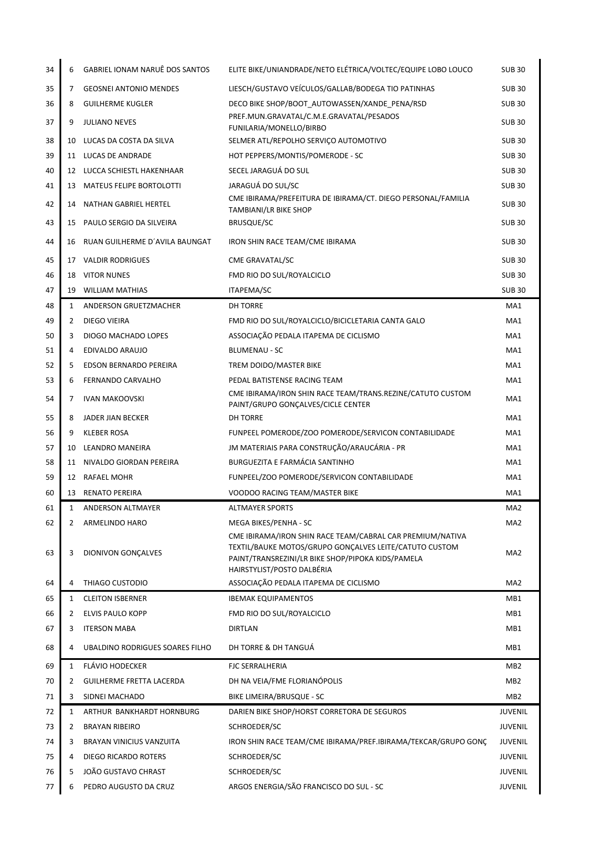| 34 | 6  | GABRIEL IONAM NARUÊ DOS SANTOS  | ELITE BIKE/UNIANDRADE/NETO ELÉTRICA/VOLTEC/EQUIPE LOBO LOUCO                                                                                                                                           | <b>SUB 30</b>   |
|----|----|---------------------------------|--------------------------------------------------------------------------------------------------------------------------------------------------------------------------------------------------------|-----------------|
| 35 | 7  | <b>GEOSNEI ANTONIO MENDES</b>   | LIESCH/GUSTAVO VEÍCULOS/GALLAB/BODEGA TIO PATINHAS                                                                                                                                                     | <b>SUB30</b>    |
| 36 | 8  | <b>GUILHERME KUGLER</b>         | DECO BIKE SHOP/BOOT_AUTOWASSEN/XANDE_PENA/RSD                                                                                                                                                          | <b>SUB30</b>    |
| 37 | 9  | <b>JULIANO NEVES</b>            | PREF.MUN.GRAVATAL/C.M.E.GRAVATAL/PESADOS<br>FUNILARIA/MONELLO/BIRBO                                                                                                                                    | <b>SUB30</b>    |
| 38 | 10 | LUCAS DA COSTA DA SILVA         | SELMER ATL/REPOLHO SERVIÇO AUTOMOTIVO                                                                                                                                                                  | <b>SUB30</b>    |
| 39 |    | 11 LUCAS DE ANDRADE             | HOT PEPPERS/MONTIS/POMERODE - SC                                                                                                                                                                       | <b>SUB 30</b>   |
| 40 |    | 12 LUCCA SCHIESTL HAKENHAAR     | SECEL JARAGUÁ DO SUL                                                                                                                                                                                   | <b>SUB30</b>    |
| 41 | 13 | MATEUS FELIPE BORTOLOTTI        | JARAGUÁ DO SUL/SC                                                                                                                                                                                      | <b>SUB 30</b>   |
| 42 | 14 | NATHAN GABRIEL HERTEL           | CME IBIRAMA/PREFEITURA DE IBIRAMA/CT. DIEGO PERSONAL/FAMILIA<br>TAMBIANI/LR BIKE SHOP                                                                                                                  | <b>SUB 30</b>   |
| 43 | 15 | PAULO SERGIO DA SILVEIRA        | <b>BRUSQUE/SC</b>                                                                                                                                                                                      | <b>SUB30</b>    |
| 44 | 16 | RUAN GUILHERME D'AVILA BAUNGAT  | IRON SHIN RACE TEAM/CME IBIRAMA                                                                                                                                                                        | <b>SUB 30</b>   |
| 45 | 17 | <b>VALDIR RODRIGUES</b>         | CME GRAVATAL/SC                                                                                                                                                                                        | <b>SUB 30</b>   |
| 46 |    | 18 VITOR NUNES                  | FMD RIO DO SUL/ROYALCICLO                                                                                                                                                                              | <b>SUB 30</b>   |
| 47 |    | 19 WILLIAM MATHIAS              | ITAPEMA/SC                                                                                                                                                                                             | <b>SUB30</b>    |
| 48 | 1  | ANDERSON GRUETZMACHER           | <b>DH TORRE</b>                                                                                                                                                                                        | MA1             |
| 49 | 2  | DIEGO VIEIRA                    | FMD RIO DO SUL/ROYALCICLO/BICICLETARIA CANTA GALO                                                                                                                                                      | MA1             |
| 50 | 3  | DIOGO MACHADO LOPES             | ASSOCIAÇÃO PEDALA ITAPEMA DE CICLISMO                                                                                                                                                                  | MA1             |
| 51 | 4  | EDIVALDO ARAUJO                 | <b>BLUMENAU - SC</b>                                                                                                                                                                                   | MA1             |
| 52 | 5  | EDSON BERNARDO PEREIRA          | TREM DOIDO/MASTER BIKE                                                                                                                                                                                 | MA1             |
| 53 | 6  | FERNANDO CARVALHO               | PEDAL BATISTENSE RACING TEAM                                                                                                                                                                           | MA1             |
| 54 | 7  | <b>IVAN MAKOOVSKI</b>           | CME IBIRAMA/IRON SHIN RACE TEAM/TRANS.REZINE/CATUTO CUSTOM<br>PAINT/GRUPO GONÇALVES/CICLE CENTER                                                                                                       | MA1             |
| 55 | 8  | JADER JIAN BECKER               | <b>DH TORRE</b>                                                                                                                                                                                        | MA1             |
| 56 | 9  | <b>KLEBER ROSA</b>              | FUNPEEL POMERODE/ZOO POMERODE/SERVICON CONTABILIDADE                                                                                                                                                   | MA1             |
| 57 | 10 | LEANDRO MANEIRA                 | JM MATERIAIS PARA CONSTRUÇÃO/ARAUCÁRIA - PR                                                                                                                                                            | MA1             |
| 58 | 11 | NIVALDO GIORDAN PEREIRA         | BURGUEZITA E FARMÁCIA SANTINHO                                                                                                                                                                         | MA1             |
| 59 | 12 | RAFAEL MOHR                     | FUNPEEL/ZOO POMERODE/SERVICON CONTABILIDADE                                                                                                                                                            | MA1             |
| 60 | 13 | <b>RENATO PEREIRA</b>           | VOODOO RACING TEAM/MASTER BIKE                                                                                                                                                                         | MA1             |
| 61 | 1  | <b>ANDERSON ALTMAYER</b>        | <b>ALTMAYER SPORTS</b>                                                                                                                                                                                 | MA <sub>2</sub> |
| 62 | 2  | ARMELINDO HARO                  | MEGA BIKES/PENHA - SC                                                                                                                                                                                  | MA <sub>2</sub> |
| 63 | 3  | <b>DIONIVON GONCALVES</b>       | CME IBIRAMA/IRON SHIN RACE TEAM/CABRAL CAR PREMIUM/NATIVA<br>TEXTIL/BAUKE MOTOS/GRUPO GONÇALVES LEITE/CATUTO CUSTOM<br>PAINT/TRANSREZINI/LR BIKE SHOP/PIPOKA KIDS/PAMELA<br>HAIRSTYLIST/POSTO DALBÉRIA | MA <sub>2</sub> |
| 64 | 4  | THIAGO CUSTODIO                 | ASSOCIAÇÃO PEDALA ITAPEMA DE CICLISMO                                                                                                                                                                  | MA <sub>2</sub> |
| 65 | 1  | <b>CLEITON ISBERNER</b>         | <b>IBEMAK EQUIPAMENTOS</b>                                                                                                                                                                             | MB1             |
| 66 | 2  | ELVIS PAULO KOPP                | FMD RIO DO SUL/ROYALCICLO                                                                                                                                                                              | MB1             |
| 67 | 3  | <b>ITERSON MABA</b>             | <b>DIRTLAN</b>                                                                                                                                                                                         | MB1             |
| 68 | 4  | UBALDINO RODRIGUES SOARES FILHO | DH TORRE & DH TANGUÁ                                                                                                                                                                                   | MB1             |
| 69 | 1  | <b>FLÁVIO HODECKER</b>          | <b>FJC SERRALHERIA</b>                                                                                                                                                                                 | MB <sub>2</sub> |
| 70 | 2  | <b>GUILHERME FRETTA LACERDA</b> | DH NA VEIA/FME FLORIANÓPOLIS                                                                                                                                                                           | MB <sub>2</sub> |
| 71 | 3  | SIDNEI MACHADO                  | BIKE LIMEIRA/BRUSQUE - SC                                                                                                                                                                              | MB <sub>2</sub> |
| 72 | 1  | ARTHUR BANKHARDT HORNBURG       | DARIEN BIKE SHOP/HORST CORRETORA DE SEGUROS                                                                                                                                                            | JUVENIL         |
| 73 | 2  | <b>BRAYAN RIBEIRO</b>           | SCHROEDER/SC                                                                                                                                                                                           | <b>JUVENIL</b>  |
| 74 | 3  | <b>BRAYAN VINICIUS VANZUITA</b> | IRON SHIN RACE TEAM/CME IBIRAMA/PREF.IBIRAMA/TEKCAR/GRUPO GONÇ                                                                                                                                         | <b>JUVENIL</b>  |
| 75 | 4  | DIEGO RICARDO ROTERS            | SCHROEDER/SC                                                                                                                                                                                           | <b>JUVENIL</b>  |
| 76 | 5  | JOÃO GUSTAVO CHRAST             | SCHROEDER/SC                                                                                                                                                                                           | JUVENIL         |
| 77 | 6  | PEDRO AUGUSTO DA CRUZ           | ARGOS ENERGIA/SÃO FRANCISCO DO SUL - SC                                                                                                                                                                | <b>JUVENIL</b>  |